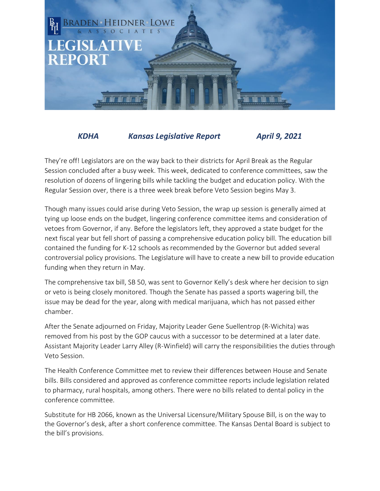

## *KDHA Kansas Legislative Report April 9, 2021*

They're off! Legislators are on the way back to their districts for April Break as the Regular Session concluded after a busy week. This week, dedicated to conference committees, saw the resolution of dozens of lingering bills while tackling the budget and education policy. With the Regular Session over, there is a three week break before Veto Session begins May 3.

Though many issues could arise during Veto Session, the wrap up session is generally aimed at tying up loose ends on the budget, lingering conference committee items and consideration of vetoes from Governor, if any. Before the legislators left, they approved a state budget for the next fiscal year but fell short of passing a comprehensive education policy bill. The education bill contained the funding for K-12 schools as recommended by the Governor but added several controversial policy provisions. The Legislature will have to create a new bill to provide education funding when they return in May.

The comprehensive tax bill, SB 50, was sent to Governor Kelly's desk where her decision to sign or veto is being closely monitored. Though the Senate has passed a sports wagering bill, the issue may be dead for the year, along with medical marijuana, which has not passed either chamber.

After the Senate adjourned on Friday, Majority Leader Gene Suellentrop (R-Wichita) was removed from his post by the GOP caucus with a successor to be determined at a later date. Assistant Majority Leader Larry Alley (R-Winfield) will carry the responsibilities the duties through Veto Session.

The Health Conference Committee met to review their differences between House and Senate bills. Bills considered and approved as conference committee reports include legislation related to pharmacy, rural hospitals, among others. There were no bills related to dental policy in the conference committee.

Substitute for HB 2066, known as the Universal Licensure/Military Spouse Bill, is on the way to the Governor's desk, after a short conference committee. The Kansas Dental Board is subject to the bill's provisions.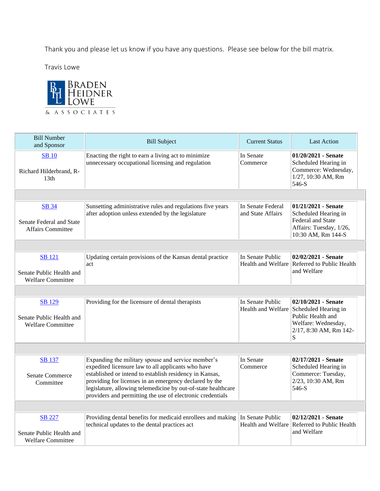Thank you and please let us know if you have any questions. Please see below for the bill matrix.

Travis Lowe



| <b>Bill Number</b>                                                    | <b>Bill Subject</b>                                                                                                                                                                                                                                                                                                                                          | <b>Current Status</b>                  | <b>Last Action</b>                                                                                                                        |
|-----------------------------------------------------------------------|--------------------------------------------------------------------------------------------------------------------------------------------------------------------------------------------------------------------------------------------------------------------------------------------------------------------------------------------------------------|----------------------------------------|-------------------------------------------------------------------------------------------------------------------------------------------|
| and Sponsor                                                           |                                                                                                                                                                                                                                                                                                                                                              |                                        |                                                                                                                                           |
| <b>SB</b> 10<br>Richard Hilderbrand, R-<br>13th                       | Enacting the right to earn a living act to minimize<br>unnecessary occupational licensing and regulation                                                                                                                                                                                                                                                     | In Senate<br>Commerce                  | $01/20/2021$ - Senate<br>Scheduled Hearing in<br>Commerce: Wednesday,<br>1/27, 10:30 AM, Rm<br>546-S                                      |
|                                                                       |                                                                                                                                                                                                                                                                                                                                                              |                                        |                                                                                                                                           |
| <b>SB 34</b><br>Senate Federal and State<br><b>Affairs Committee</b>  | Sunsetting administrative rules and regulations five years<br>after adoption unless extended by the legislature                                                                                                                                                                                                                                              | In Senate Federal<br>and State Affairs | $01/21/2021$ - Senate<br>Scheduled Hearing in<br>Federal and State<br>Affairs: Tuesday, 1/26,<br>10:30 AM, Rm 144-S                       |
|                                                                       |                                                                                                                                                                                                                                                                                                                                                              |                                        |                                                                                                                                           |
| <b>SB</b> 121<br>Senate Public Health and<br><b>Welfare Committee</b> | Updating certain provisions of the Kansas dental practice<br>act                                                                                                                                                                                                                                                                                             | In Senate Public                       | 02/02/2021 - Senate<br>Health and Welfare Referred to Public Health<br>and Welfare                                                        |
|                                                                       |                                                                                                                                                                                                                                                                                                                                                              |                                        |                                                                                                                                           |
| <b>SB</b> 129<br>Senate Public Health and<br><b>Welfare Committee</b> | Providing for the licensure of dental therapists                                                                                                                                                                                                                                                                                                             | In Senate Public                       | 02/10/2021 - Senate<br>Health and Welfare Scheduled Hearing in<br>Public Health and<br>Welfare: Wednesday,<br>2/17, 8:30 AM, Rm 142-<br>S |
|                                                                       |                                                                                                                                                                                                                                                                                                                                                              |                                        |                                                                                                                                           |
| <b>SB</b> 137<br><b>Senate Commerce</b><br>Committee                  | Expanding the military spouse and service member's<br>expedited licensure law to all applicants who have<br>established or intend to establish residency in Kansas,<br>providing for licenses in an emergency declared by the<br>legislature, allowing telemedicine by out-of-state healthcare<br>providers and permitting the use of electronic credentials | In Senate<br>Commerce                  | 02/17/2021 - Senate<br>Scheduled Hearing in<br>Commerce: Tuesday,<br>2/23, 10:30 AM, Rm<br>546-S                                          |
|                                                                       |                                                                                                                                                                                                                                                                                                                                                              |                                        |                                                                                                                                           |
| <b>SB 227</b><br>Senate Public Health and<br><b>Welfare Committee</b> | Providing dental benefits for medicaid enrollees and making<br>technical updates to the dental practices act                                                                                                                                                                                                                                                 | In Senate Public                       | $02/12/2021$ - Senate<br>Health and Welfare Referred to Public Health<br>and Welfare                                                      |